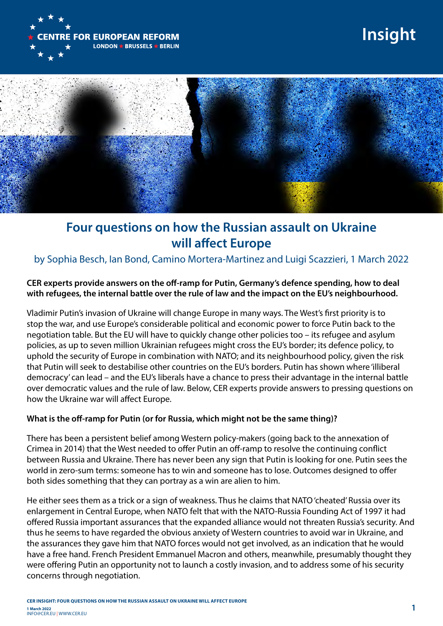

# **Insight**



## **Four questions on how the Russian assault on Ukraine will affect Europe**

### by Sophia Besch, Ian Bond, Camino Mortera-Martinez and Luigi Scazzieri, 1 March 2022

#### **CER experts provide answers on the off-ramp for Putin, Germany's defence spending, how to deal with refugees, the internal battle over the rule of law and the impact on the EU's neighbourhood.**

Vladimir Putin's invasion of Ukraine will change Europe in many ways. The West's first priority is to stop the war, and use Europe's considerable political and economic power to force Putin back to the negotiation table. But the EU will have to quickly change other policies too – its refugee and asylum policies, as up to seven million Ukrainian refugees might cross the EU's border; its defence policy, to uphold the security of Europe in combination with NATO; and its neighbourhood policy, given the risk that Putin will seek to destabilise other countries on the EU's borders. Putin has shown where 'illiberal democracy' can lead – and the EU's liberals have a chance to press their advantage in the internal battle over democratic values and the rule of law. Below, CER experts provide answers to pressing questions on how the Ukraine war will affect Europe.

#### **What is the off-ramp for Putin (or for Russia, which might not be the same thing)?**

There has been a persistent belief among Western policy-makers (going back to the annexation of Crimea in 2014) that the West needed to offer Putin an off-ramp to resolve the continuing conflict between Russia and Ukraine. There has never been any sign that Putin is looking for one. Putin sees the world in zero-sum terms: someone has to win and someone has to lose. Outcomes designed to offer both sides something that they can portray as a win are alien to him.

He either sees them as a trick or a sign of weakness. Thus he claims that NATO 'cheated' Russia over its enlargement in Central Europe, when NATO felt that with the NATO-Russia Founding Act of 1997 it had offered Russia important assurances that the expanded alliance would not threaten Russia's security. And thus he seems to have regarded the obvious anxiety of Western countries to avoid war in Ukraine, and the assurances they gave him that NATO forces would not get involved, as an indication that he would have a free hand. French President Emmanuel Macron and others, meanwhile, presumably thought they were offering Putin an opportunity not to launch a costly invasion, and to address some of his security concerns through negotiation.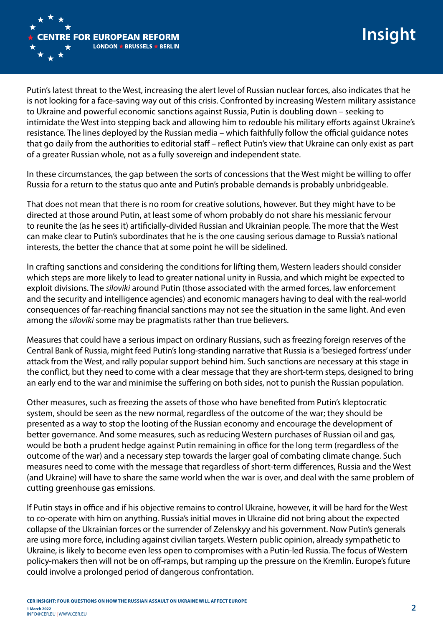

Putin's latest threat to the West, increasing the alert level of Russian nuclear forces, also indicates that he is not looking for a face-saving way out of this crisis. Confronted by increasing Western military assistance to Ukraine and powerful economic sanctions against Russia, Putin is doubling down – seeking to intimidate the West into stepping back and allowing him to redouble his military efforts against Ukraine's resistance. The lines deployed by the Russian media – which faithfully follow the official guidance notes that go daily from the authorities to editorial staff – reflect Putin's view that Ukraine can only exist as part of a greater Russian whole, not as a fully sovereign and independent state.

In these circumstances, the gap between the sorts of concessions that the West might be willing to offer Russia for a return to the status quo ante and Putin's probable demands is probably unbridgeable.

That does not mean that there is no room for creative solutions, however. But they might have to be directed at those around Putin, at least some of whom probably do not share his messianic fervour to reunite the (as he sees it) artificially-divided Russian and Ukrainian people. The more that the West can make clear to Putin's subordinates that he is the one causing serious damage to Russia's national interests, the better the chance that at some point he will be sidelined.

In crafting sanctions and considering the conditions for lifting them, Western leaders should consider which steps are more likely to lead to greater national unity in Russia, and which might be expected to exploit divisions. The *siloviki* around Putin (those associated with the armed forces, law enforcement and the security and intelligence agencies) and economic managers having to deal with the real-world consequences of far-reaching financial sanctions may not see the situation in the same light. And even among the *siloviki* some may be pragmatists rather than true believers.

Measures that could have a serious impact on ordinary Russians, such as freezing foreign reserves of the Central Bank of Russia, might feed Putin's long-standing narrative that Russia is a 'besieged fortress' under attack from the West, and rally popular support behind him. Such sanctions are necessary at this stage in the conflict, but they need to come with a clear message that they are short-term steps, designed to bring an early end to the war and minimise the suffering on both sides, not to punish the Russian population.

Other measures, such as freezing the assets of those who have benefited from Putin's kleptocratic system, should be seen as the new normal, regardless of the outcome of the war; they should be presented as a way to stop the looting of the Russian economy and encourage the development of better governance. And some measures, such as reducing Western purchases of Russian oil and gas, would be both a prudent hedge against Putin remaining in office for the long term (regardless of the outcome of the war) and a necessary step towards the larger goal of combating climate change. Such measures need to come with the message that regardless of short-term differences, Russia and the West (and Ukraine) will have to share the same world when the war is over, and deal with the same problem of cutting greenhouse gas emissions.

If Putin stays in office and if his objective remains to control Ukraine, however, it will be hard for the West to co-operate with him on anything. Russia's initial moves in Ukraine did not bring about the expected collapse of the Ukrainian forces or the surrender of Zelenskyy and his government. Now Putin's generals are using more force, including against civilian targets. Western public opinion, already sympathetic to Ukraine, is likely to become even less open to compromises with a Putin-led Russia. The focus of Western policy-makers then will not be on off-ramps, but ramping up the pressure on the Kremlin. Europe's future could involve a prolonged period of dangerous confrontation.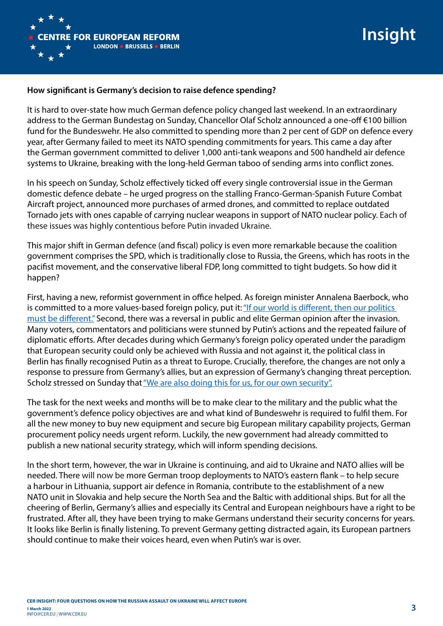

#### **How significant is Germany's decision to raise defence spending?**

It is hard to over-state how much German defence policy changed last weekend. In an extraordinary address to the German Bundestag on Sunday, Chancellor Olaf Scholz announced a one-off €100 billion fund for the Bundeswehr. He also committed to spending more than 2 per cent of GDP on defence every year, after Germany failed to meet its NATO spending commitments for years. This came a day after the German government committed to deliver 1,000 anti-tank weapons and 500 handheld air defence systems to Ukraine, breaking with the long-held German taboo of sending arms into conflict zones.

In his speech on Sunday, Scholz effectively ticked off every single controversial issue in the German domestic defence debate – he urged progress on the stalling Franco-German-Spanish Future Combat Aircraft project, announced more purchases of armed drones, and committed to replace outdated Tornado jets with ones capable of carrying nuclear weapons in support of NATO nuclear policy. Each of these issues was highly contentious before Putin invaded Ukraine.

This major shift in German defence (and fiscal) policy is even more remarkable because the coalition government comprises the SPD, which is traditionally close to Russia, the Greens, which has roots in the pacifist movement, and the conservative liberal FDP, long committed to tight budgets. So how did it happen?

First, having a new, reformist government in office helped. As foreign minister Annalena Baerbock, who is committed to a more values-based foreign policy, put it: ["If our world is different, then our politics](https://www.welt.de/politik/deutschland/article237190335/Baerbock-Wir-haben-bis-zuletzt-an-die-Diplomatie-geglaubt-aber-Putin-wollte-das-nicht.html)  [must be different."](https://www.welt.de/politik/deutschland/article237190335/Baerbock-Wir-haben-bis-zuletzt-an-die-Diplomatie-geglaubt-aber-Putin-wollte-das-nicht.html) Second, there was a reversal in public and elite German opinion after the invasion. Many voters, commentators and politicians were stunned by Putin's actions and the repeated failure of diplomatic efforts. After decades during which Germany's foreign policy operated under the paradigm that European security could only be achieved with Russia and not against it, the political class in Berlin has finally recognised Putin as a threat to Europe. Crucially, therefore, the changes are not only a response to pressure from Germany's allies, but an expression of Germany's changing threat perception. Scholz stressed on Sunday that ["We are also doing this for us, for our own security".](https://www.bundesregierung.de/breg-en/news/policy-statement-by-olaf-scholz-chancellor-of-the-federal-republic-of-germany-and-member-of-the-german-bundestag-27-february-2022-in-berlin-2008378)

The task for the next weeks and months will be to make clear to the military and the public what the government's defence policy objectives are and what kind of Bundeswehr is required to fulfil them. For all the new money to buy new equipment and secure big European military capability projects, German procurement policy needs urgent reform. Luckily, the new government had already committed to publish a new national security strategy, which will inform spending decisions.

In the short term, however, the war in Ukraine is continuing, and aid to Ukraine and NATO allies will be needed. There will now be more German troop deployments to NATO's eastern flank – to help secure a harbour in Lithuania, support air defence in Romania, contribute to the establishment of a new NATO unit in Slovakia and help secure the North Sea and the Baltic with additional ships. But for all the cheering of Berlin, Germany's allies and especially its Central and European neighbours have a right to be frustrated. After all, they have been trying to make Germans understand their security concerns for years. It looks like Berlin is finally listening. To prevent Germany getting distracted again, its European partners should continue to make their voices heard, even when Putin's war is over.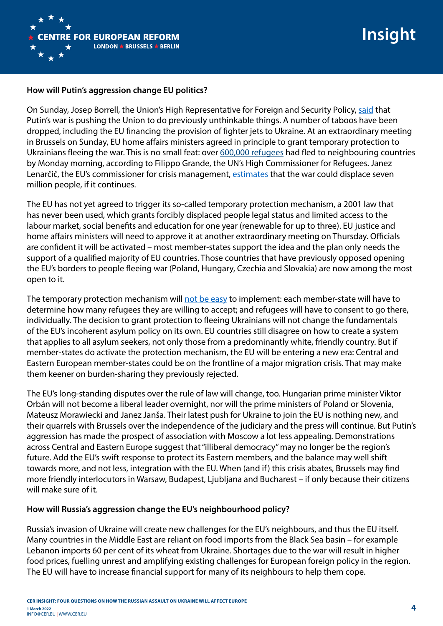

#### **How will Putin's aggression change EU politics?**

On Sunday, Josep Borrell, the Union's High Representative for Foreign and Security Policy, [said](https://eeas.europa.eu/topics/sanctions-policy/111758/informal-videoconference-foreign-affairs-ministers-remarks-high-representativevice-president_en) that Putin's war is pushing the Union to do previously unthinkable things. A number of taboos have been dropped, including the EU financing the provision of fighter jets to Ukraine. At an extraordinary meeting in Brussels on Sunday, EU home affairs ministers agreed in principle to grant temporary protection to Ukrainians fleeing the war. This is no small feat: over [600,000 refugees](https://twitter.com/Refugees/status/1498618794209681416%20) had fled to neighbouring countries by Monday morning, according to Filippo Grande, the UN's High Commissioner for Refugees. Janez Lenarčič, the EU's commissioner for crisis management, [estimates](https://www.france24.com/en/europe/20220227-europe-must-prepare-for-millions-of-ukrainian-refugees-eu-commissioner-says) that the war could displace seven million people, if it continues.

The EU has not yet agreed to trigger its so-called temporary protection mechanism, a 2001 law that has never been used, which grants forcibly displaced people legal status and limited access to the labour market, social benefits and education for one year (renewable for up to three). EU justice and home affairs ministers will need to approve it at another extraordinary meeting on Thursday. Officials are confident it will be activated – most member-states support the idea and the plan only needs the support of a qualified majority of EU countries. Those countries that have previously opposed opening the EU's borders to people fleeing war (Poland, Hungary, Czechia and Slovakia) are now among the most open to it.

The temporary protection mechanism will [not be easy](https://twitter.com/HanneBeirens/status/1498023998118051841) to implement: each member-state will have to determine how many refugees they are willing to accept; and refugees will have to consent to go there, individually. The decision to grant protection to fleeing Ukrainians will not change the fundamentals of the EU's incoherent asylum policy on its own. EU countries still disagree on how to create a system that applies to all asylum seekers, not only those from a predominantly white, friendly country. But if member-states do activate the protection mechanism, the EU will be entering a new era: Central and Eastern European member-states could be on the frontline of a major migration crisis. That may make them keener on burden-sharing they previously rejected.

The EU's long-standing disputes over the rule of law will change, too. Hungarian prime minister Viktor Orbán will not become a liberal leader overnight, nor will the prime ministers of Poland or Slovenia, Mateusz Morawiecki and Janez Janša. Their latest push for Ukraine to join the EU is nothing new, and their quarrels with Brussels over the independence of the judiciary and the press will continue. But Putin's aggression has made the prospect of association with Moscow a lot less appealing. Demonstrations across Central and Eastern Europe suggest that "illiberal democracy" may no longer be the region's future. Add the EU's swift response to protect its Eastern members, and the balance may well shift towards more, and not less, integration with the EU. When (and if) this crisis abates, Brussels may find more friendly interlocutors in Warsaw, Budapest, Ljubljana and Bucharest – if only because their citizens will make sure of it.

#### **How will Russia's aggression change the EU's neighbourhood policy?**

Russia's invasion of Ukraine will create new challenges for the EU's neighbours, and thus the EU itself. Many countries in the Middle East are reliant on food imports from the Black Sea basin – for example Lebanon imports 60 per cent of its wheat from Ukraine. Shortages due to the war will result in higher food prices, fuelling unrest and amplifying existing challenges for European foreign policy in the region. The EU will have to increase financial support for many of its neighbours to help them cope.